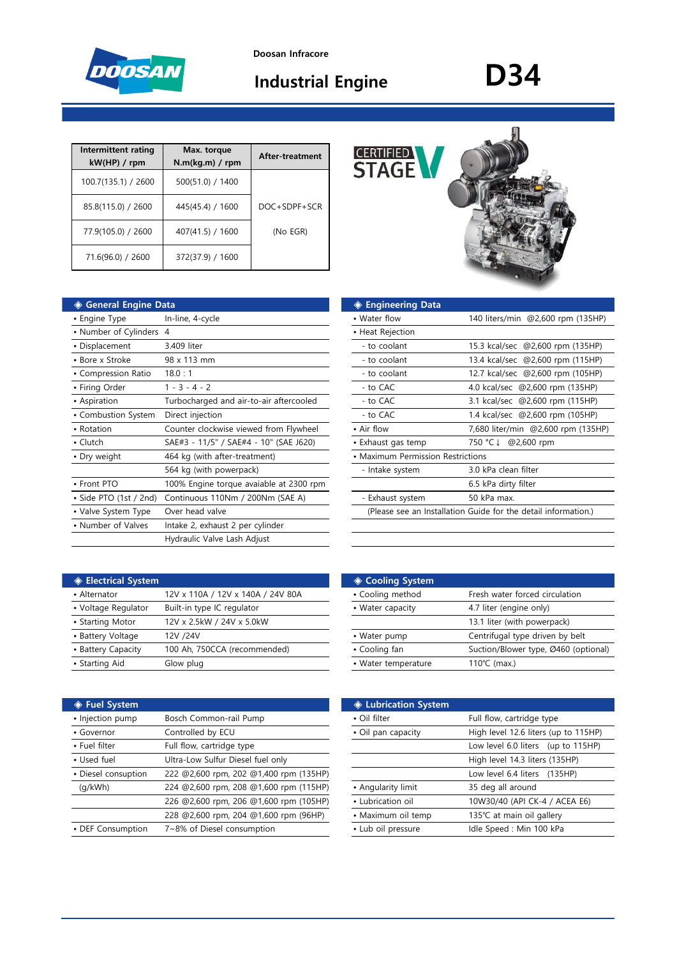

**Doosan Infracore**

# **Industrial Engine D34**

| Intermittent rating<br>kW(HP) / rpm | Max. torque<br>$N.m(kq.m)$ / rpm | After-treatment |
|-------------------------------------|----------------------------------|-----------------|
| 100.7(135.1) / 2600                 | 500(51.0) / 1400                 |                 |
| 85.8(115.0) / 2600                  | 445(45.4) / 1600                 | DOC+SDPF+SCR    |
| 77.9(105.0) / 2600                  | 407(41.5) / 1600                 | (No EGR)        |
| 71.6(96.0) / 2600                   | 372(37.9) / 1600                 |                 |

| ◈ General Engine Data   |                                         | ◈ Engineering Data                |                                                                |
|-------------------------|-----------------------------------------|-----------------------------------|----------------------------------------------------------------|
| • Engine Type           | In-line, 4-cycle                        | • Water flow                      | 140 liters/min @2,600 rpm (135HP)                              |
| • Number of Cylinders 4 |                                         | • Heat Rejection                  |                                                                |
| • Displacement          | 3.409 liter                             | - to coolant                      | 15.3 kcal/sec @2,600 rpm (135HP)                               |
| • Bore x Stroke         | 98 x 113 mm                             | - to coolant                      | 13.4 kcal/sec @2,600 rpm (115HP)                               |
| • Compression Ratio     | 18.0:1                                  | - to coolant                      | 12.7 kcal/sec @2,600 rpm (105HP)                               |
| • Firing Order          | $1 - 3 - 4 - 2$                         | - to CAC                          | 4.0 kcal/sec @2,600 rpm (135HP)                                |
| • Aspiration            | Turbocharged and air-to-air aftercooled | - to CAC                          | 3.1 kcal/sec @2,600 rpm (115HP)                                |
| • Combustion System     | Direct injection                        | - to CAC                          | 1.4 kcal/sec @2,600 rpm (105HP)                                |
| • Rotation              | Counter clockwise viewed from Flywheel  | • Air flow                        | 7,680 liter/min @2,600 rpm (135HF                              |
| $\cdot$ Clutch          | SAE#3 - 11/5" / SAE#4 - 10" (SAE J620)  | • Exhaust gas temp                | 750 °C ↓<br>@2,600 rpm                                         |
| • Dry weight            | 464 kg (with after-treatment)           | • Maximum Permission Restrictions |                                                                |
|                         | 564 kg (with powerpack)                 | - Intake system                   | 3.0 kPa clean filter                                           |
| • Front PTO             | 100% Engine torque avaiable at 2300 rpm |                                   | 6.5 kPa dirty filter                                           |
| • Side PTO (1st / 2nd)  | Continuous 110Nm / 200Nm (SAE A)        | - Exhaust system                  | 50 kPa max.                                                    |
| • Valve System Type     | Over head valve                         |                                   | (Please see an Installation Guide for the detail information.) |
| • Number of Valves      | Intake 2, exhaust 2 per cylinder        |                                   |                                                                |
|                         | Hydraulic Valve Lash Adjust             |                                   |                                                                |
|                         |                                         |                                   |                                                                |

| <b>CERTIFIED STAGE</b> |  |
|------------------------|--|
|                        |  |

| ◈ General Engine Data    |                                         | ◈ Engineering Data                |                                                                |
|--------------------------|-----------------------------------------|-----------------------------------|----------------------------------------------------------------|
| • Engine Type            | In-line, 4-cycle                        | • Water flow                      | 140 liters/min @2,600 rpm (135HP)                              |
| • Number of Cylinders 4  |                                         | • Heat Rejection                  |                                                                |
| • Displacement           | 3.409 liter                             | - to coolant                      | 15.3 kcal/sec @2,600 rpm (135HP)                               |
| • Bore x Stroke          | 98 x 113 mm                             | - to coolant                      | 13.4 kcal/sec @2,600 rpm (115HP)                               |
| • Compression Ratio      | 18.0:1                                  | - to coolant                      | 12.7 kcal/sec @2,600 rpm (105HP)                               |
| • Firing Order           | $1 - 3 - 4 - 2$                         | - to CAC                          | 4.0 kcal/sec @2,600 rpm (135HP)                                |
| • Aspiration             | Turbocharged and air-to-air aftercooled | - to CAC                          | 3.1 kcal/sec @2,600 rpm (115HP)                                |
| • Combustion System      | Direct injection                        | - to CAC                          | 1.4 kcal/sec @2,600 rpm (105HP)                                |
| • Rotation               | Counter clockwise viewed from Flywheel  | • Air flow                        | 7,680 liter/min @2,600 rpm (135HP)                             |
| $\bullet$ Clutch         | SAE#3 - 11/5" / SAE#4 - 10" (SAE J620)  | • Exhaust gas temp                | @2,600 rpm<br>750 °C ↓                                         |
| • Dry weight             | 464 kg (with after-treatment)           | • Maximum Permission Restrictions |                                                                |
|                          | 564 kg (with powerpack)                 | - Intake system                   | 3.0 kPa clean filter                                           |
| • Front PTO              | 100% Engine torque avaiable at 2300 rpm |                                   | 6.5 kPa dirty filter                                           |
| · Side PTO (1st / 2nd)   | Continuous 110Nm / 200Nm (SAE A)        | - Exhaust system                  | 50 kPa max.                                                    |
| • Valve System Type      | Over head valve                         |                                   | (Please see an Installation Guide for the detail information.) |
| $\cdot$ Number of Values | intolan Citatural Dinastrulindae        |                                   |                                                                |

| ♦ Electrical System |                                   | ◈ Cooling System    |                                 |
|---------------------|-----------------------------------|---------------------|---------------------------------|
| • Alternator        | 12V x 110A / 12V x 140A / 24V 80A | • Cooling method    | Fresh water forced circulation  |
| • Voltage Regulator | Built-in type IC regulator        | • Water capacity    | 4.7 liter (engine only)         |
| • Starting Motor    | 12V x 2.5kW / 24V x 5.0kW         |                     | 13.1 liter (with powerpack)     |
| • Battery Voltage   | 12V /24V                          | • Water pump        | Centrifugal type driven by belt |
| • Battery Capacity  | 100 Ah, 750CCA (recommended)      | • Cooling fan       | Suction/Blower type, Ø460 (op   |
| • Starting Aid      | Glow plug                         | • Water temperature | 110°C (max.)                    |
|                     |                                   |                     |                                 |

| ◈ Fuel System       |                                        | ♦ Lubrication System |                                      |
|---------------------|----------------------------------------|----------------------|--------------------------------------|
| • Injection pump    | Bosch Common-rail Pump                 | • Oil filter         | Full flow, cartridge type            |
| • Governor          | Controlled by ECU                      | • Oil pan capacity   | High level 12.6 liters (up to 115HP) |
| • Fuel filter       | Full flow, cartridge type              |                      | Low level 6.0 liters (up to 115HP)   |
| • Used fuel         | Ultra-Low Sulfur Diesel fuel only      |                      | High level 14.3 liters (135HP)       |
| • Diesel consuption | 222 @2,600 rpm, 202 @1,400 rpm (135HP) |                      | Low level 6.4 liters (135HP)         |
| (q/kWh)             | 224 @2,600 rpm, 208 @1,600 rpm (115HP) | • Angularity limit   | 35 deg all around                    |
|                     | 226 @2,600 rpm, 206 @1,600 rpm (105HP) | • Lubrication oil    | 10W30/40 (API CK-4 / ACEA E6)        |
|                     | 228 @2,600 rpm, 204 @1,600 rpm (96HP)  | • Maximum oil temp   | 135℃ at main oil gallery             |
| • DEF Consumption   | 7~8% of Diesel consumption             | • Lub oil pressure   | Idle Speed: Min 100 kPa              |

| <b>Electrical System</b> |                                   | ◈ Cooling System    |                                      |
|--------------------------|-----------------------------------|---------------------|--------------------------------------|
| • Alternator             | 12V x 110A / 12V x 140A / 24V 80A | • Cooling method    | Fresh water forced circulation       |
| • Voltage Regulator      | Built-in type IC regulator        | • Water capacity    | 4.7 liter (engine only)              |
| • Starting Motor         | 12V x 2.5kW / 24V x 5.0kW         |                     | 13.1 liter (with powerpack)          |
| • Battery Voltage        | 12V /24V                          | • Water pump        | Centrifugal type driven by belt      |
| • Battery Capacity       | 100 Ah, 750CCA (recommended)      | • Cooling fan       | Suction/Blower type, Ø460 (optional) |
| • Starting Aid           | Glow plug                         | • Water temperature | $110^{\circ}$ C (max.)               |
|                          |                                   |                     |                                      |

|                                        | <b>♦ Lubrication System</b> |                                      |
|----------------------------------------|-----------------------------|--------------------------------------|
| Bosch Common-rail Pump                 | • Oil filter                | Full flow, cartridge type            |
| Controlled by ECU                      | • Oil pan capacity          | High level 12.6 liters (up to 115HP) |
| Full flow, cartridge type              |                             | Low level 6.0 liters (up to 115HP)   |
| Ultra-Low Sulfur Diesel fuel only      |                             | High level 14.3 liters (135HP)       |
| 222 @2,600 rpm, 202 @1,400 rpm (135HP) |                             | Low level 6.4 liters (135HP)         |
| 224 @2,600 rpm, 208 @1,600 rpm (115HP) | • Angularity limit          | 35 deg all around                    |
| 226 @2,600 rpm, 206 @1,600 rpm (105HP) | • Lubrication oil           | 10W30/40 (API CK-4 / ACEA E6)        |
| 228 @2,600 rpm, 204 @1,600 rpm (96HP)  | • Maximum oil temp          | 135℃ at main oil gallery             |
| 7~8% of Diesel consumption             | • Lub oil pressure          | Idle Speed: Min 100 kPa              |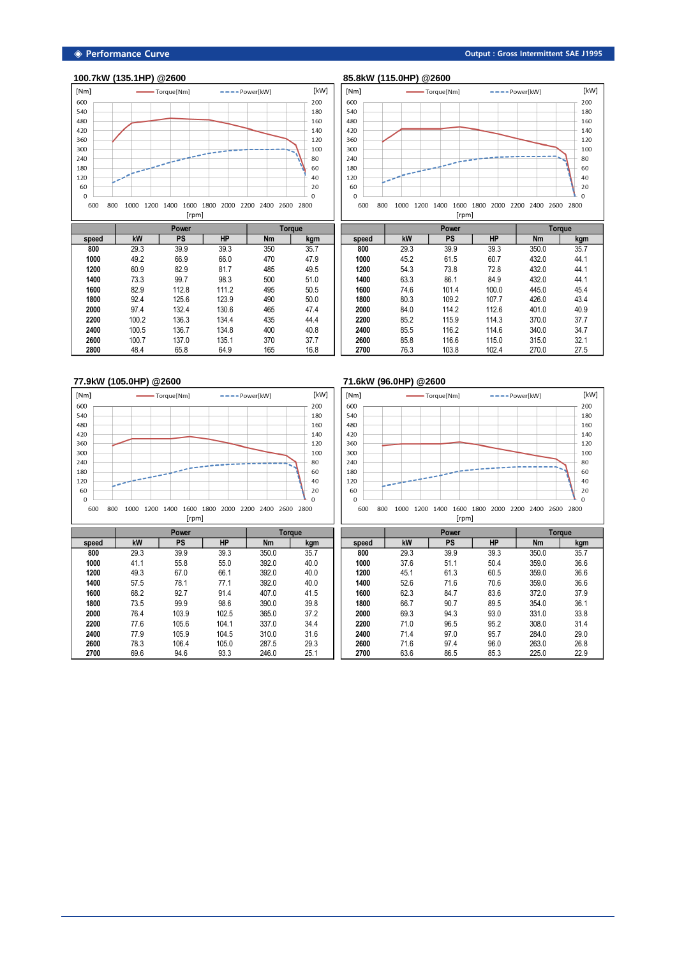#### **◈ Performance Curve Output : Gross Intermittent SAE J1995**

[kW]

 $80\,$ 

 $\Omega$ 

## **100.7kW (135.1HP) @2600 85.8kW (115.0HP) @2600**





|       |       | <b>Power</b> |           | <b>Torque</b> |      |
|-------|-------|--------------|-----------|---------------|------|
| speed | kW    | <b>PS</b>    | <b>HP</b> | <b>Nm</b>     | kgm  |
| 800   | 29.3  | 39.9         | 39.3      | 350           | 35.7 |
| 1000  | 49.2  | 66.9         | 66.0      | 470           | 47.9 |
| 1200  | 60.9  | 82.9         | 81.7      | 485           | 49.5 |
| 1400  | 73.3  | 99.7         | 98.3      | 500           | 51.0 |
| 1600  | 82.9  | 112.8        | 111.2     | 495           | 50.5 |
| 1800  | 92.4  | 125.6        | 123.9     | 490           | 50.0 |
| 2000  | 97.4  | 132.4        | 130.6     | 465           | 47.4 |
| 2200  | 100.2 | 136.3        | 134.4     | 435           | 44.4 |
| 2400  | 100.5 | 136.7        | 134.8     | 400           | 40.8 |
| 2600  | 100.7 | 137.0        | 135.1     | 370           | 37.7 |
| 2800  | 48.4  | 65.8         | 64.9      | 165           | 16.8 |
|       |       |              |           |               |      |

 57.5 78.1 77.1 392.0 40.0 68.2 92.7 91.4 407.0 41.5 73.5 99.9 98.6 390.0 39.8 76.4 103.9 102.5 365.0 37.2 77.6 105.6 104.1 337.0 34.4 77.9 105.9 104.5 310.0 31.6 78.3 106.4 105.0 287.5 29.3 69.6 94.6 93.3 246.0 25.1

|       | <b>Power</b> |           | <b>Torque</b> |           |      |
|-------|--------------|-----------|---------------|-----------|------|
| speed | kW           | <b>PS</b> | <b>HP</b>     | <b>Nm</b> | kgm  |
| 800   | 29.3         | 39.9      | 39.3          | 350.0     | 35.7 |
| 1000  | 45.2         | 61.5      | 60.7          | 432.0     | 44.1 |
| 1200  | 54.3         | 73.8      | 72.8          | 432.0     | 44.1 |
| 1400  | 63.3         | 86.1      | 84.9          | 432.0     | 44.1 |
| 1600  | 74.6         | 101.4     | 100.0         | 445.0     | 45.4 |
| 1800  | 80.3         | 109.2     | 107.7         | 426.0     | 43.4 |
| 2000  | 84.0         | 114.2     | 112.6         | 401.0     | 40.9 |
| 2200  | 85.2         | 115.9     | 114.3         | 370.0     | 37.7 |
| 2400  | 85.5         | 116.2     | 114.6         | 340.0     | 34.7 |
| 2600  | 85.8         | 116.6     | 115.0         | 315.0     | 32.1 |
| 2700  | 76.3         | 103.8     | 102.4         | 270.0     | 27.5 |

 52.6 71.6 70.6 359.0 36.6 62.3 84.7 83.6 372.0 37.9 66.7 90.7 89.5 354.0 36.1 69.3 94.3 93.0 331.0 33.8 71.0 96.5 95.2 308.0 31.4 71.4 97.0 95.7 284.0 29.0 71.6 97.4 96.0 263.0 26.8 63.6 86.5 85.3 225.0 22.9

#### **77.9kW (105.0HP) @2600 71.6kW (96.0HP) @2600**  $[Nm]$ - Torque [Nm]  $---$  Power[kW] [kW]  $[Nm]$ - Torque [Nm]  $---$  Power[kW]  $80\,$ المند  $60\,$ ò,  $\overline{\phantom{a}}$ بالمنار وسال وماني  $\Omega$  $\Omega$  $\Omega$ 600 800 1000 1200 1400 1600 1800 2000 2200 2400 2600 2800 600 800 1000 1200 1400 1600 1800 2000 2200 2400 2600 2800 [rpm] [rpm] **Power Power PS HP Nm Nm Power Torque speed kW PS HP Nm kgm speed kW PS HP Nm kgm** 29.3 39.9 39.3 350.0 35.7 29.3 39.9 39.3 350.0 35.7 41.1 55.8 55.0 392.0 40.0 37.6 51.1 50.4 359.0 36.6 49.3 67.0 66.1 392.0 40.0 45.1 61.3 60.5 359.0 36.6